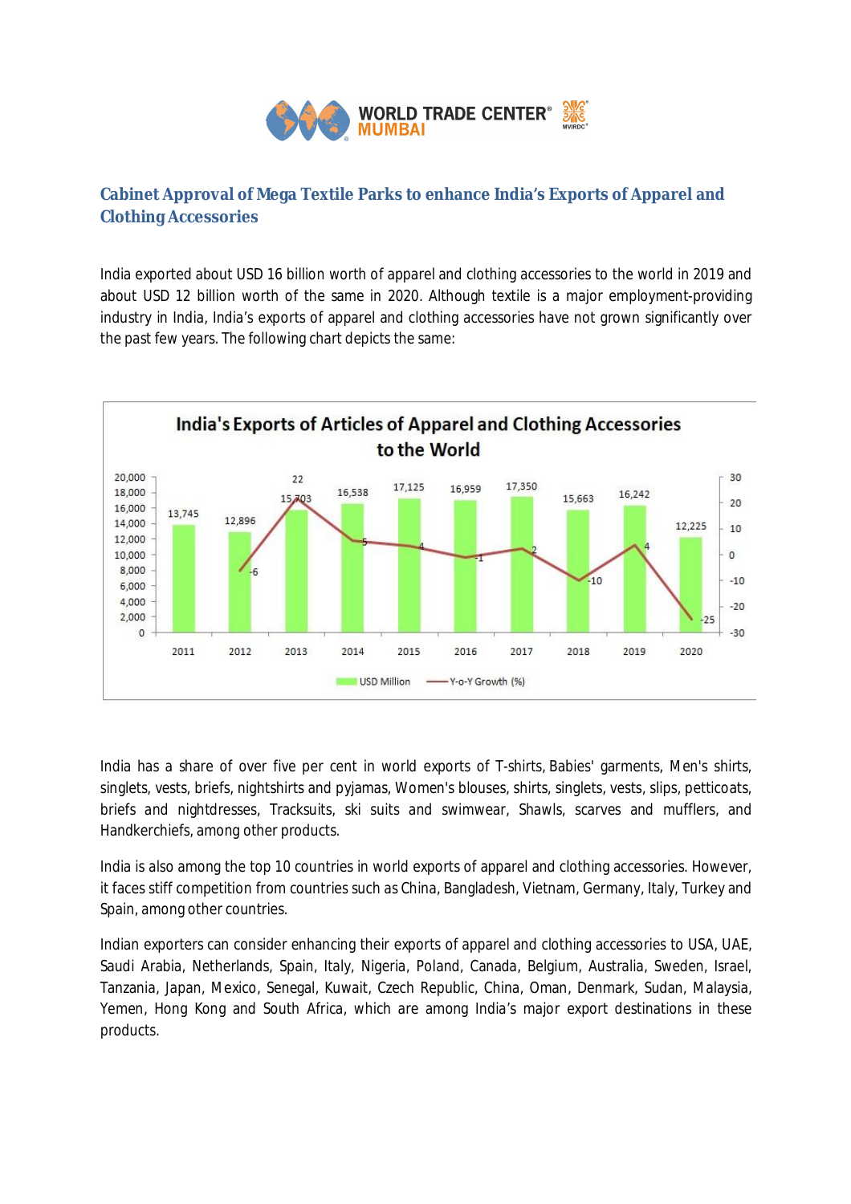

## **Cabinet Approval of Mega Textile Parks to enhance India's Exports of Apparel and Clothing Accessories**

India exported about USD 16 billion worth of apparel and clothing accessories to the world in 2019 and about USD 12 billion worth of the same in 2020. Although textile is a major employment-providing industry in India, India's exports of apparel and clothing accessories have not grown significantly over the past few years. The following chart depicts the same:



India has a share of over five per cent in world exports of T-shirts, Babies' garments, Men's shirts, singlets, vests, briefs, nightshirts and pyjamas, Women's blouses, shirts, singlets, vests, slips, petticoats, briefs and nightdresses, Tracksuits, ski suits and swimwear, Shawls, scarves and mufflers, and Handkerchiefs, among other products.

India is also among the top 10 countries in world exports of apparel and clothing accessories. However, it faces stiff competition from countries such as China, Bangladesh, Vietnam, Germany, Italy, Turkey and Spain, among other countries.

Indian exporters can consider enhancing their exports of apparel and clothing accessories to USA, UAE, Saudi Arabia, Netherlands, Spain, Italy, Nigeria, Poland, Canada, Belgium, Australia, Sweden, Israel, Tanzania, Japan, Mexico, Senegal, Kuwait, Czech Republic, China, Oman, Denmark, Sudan, Malaysia, Yemen, Hong Kong and South Africa, which are among India's major export destinations in these products.